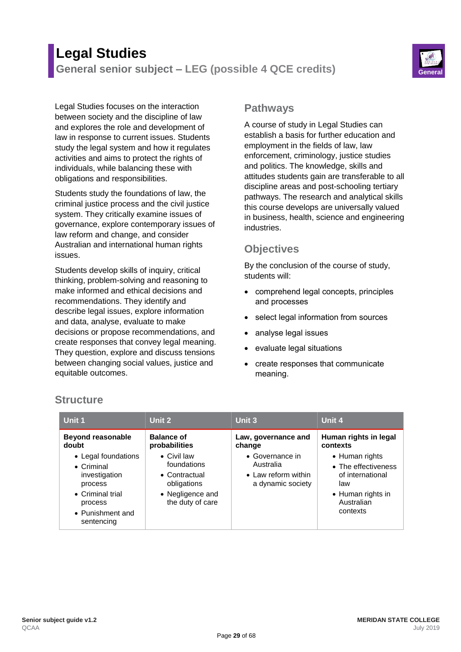# **Legal Studies General senior subject – LEG (possible 4 QCE credits) General**



Legal Studies focuses on the interaction between society and the discipline of law and explores the role and development of law in response to current issues. Students study the legal system and how it regulates activities and aims to protect the rights of individuals, while balancing these with obligations and responsibilities.

Students study the foundations of law, the criminal justice process and the civil justice system. They critically examine issues of governance, explore contemporary issues of law reform and change, and consider Australian and international human rights issues.

Students develop skills of inquiry, critical thinking, problem-solving and reasoning to make informed and ethical decisions and recommendations. They identify and describe legal issues, explore information and data, analyse, evaluate to make decisions or propose recommendations, and create responses that convey legal meaning. They question, explore and discuss tensions between changing social values, justice and equitable outcomes.

#### **Pathways**

A course of study in Legal Studies can establish a basis for further education and employment in the fields of law, law enforcement, criminology, justice studies and politics. The knowledge, skills and attitudes students gain are transferable to all discipline areas and post-schooling tertiary pathways. The research and analytical skills this course develops are universally valued in business, health, science and engineering industries.

## **Objectives**

By the conclusion of the course of study, students will:

- comprehend legal concepts, principles and processes
- select legal information from sources
- analyse legal issues
- evaluate legal situations
- create responses that communicate meaning.

| Unit 1                                                                                                                                                                      | Unit 2                                                                                                                                           | Unit 3                                                                                                    | Unit 4                                                                                                                                               |
|-----------------------------------------------------------------------------------------------------------------------------------------------------------------------------|--------------------------------------------------------------------------------------------------------------------------------------------------|-----------------------------------------------------------------------------------------------------------|------------------------------------------------------------------------------------------------------------------------------------------------------|
| <b>Beyond reasonable</b><br>doubt<br>• Legal foundations<br>$\bullet$ Criminal<br>investigation<br>process<br>• Criminal trial<br>process<br>• Punishment and<br>sentencing | <b>Balance of</b><br>probabilities<br>$\bullet$ Civil law<br>foundations<br>• Contractual<br>obligations<br>• Negligence and<br>the duty of care | Law, governance and<br>change<br>• Governance in<br>Australia<br>• Law reform within<br>a dynamic society | Human rights in legal<br>contexts<br>• Human rights<br>• The effectiveness<br>of international<br>law<br>• Human rights in<br>Australian<br>contexts |

## **Structure**